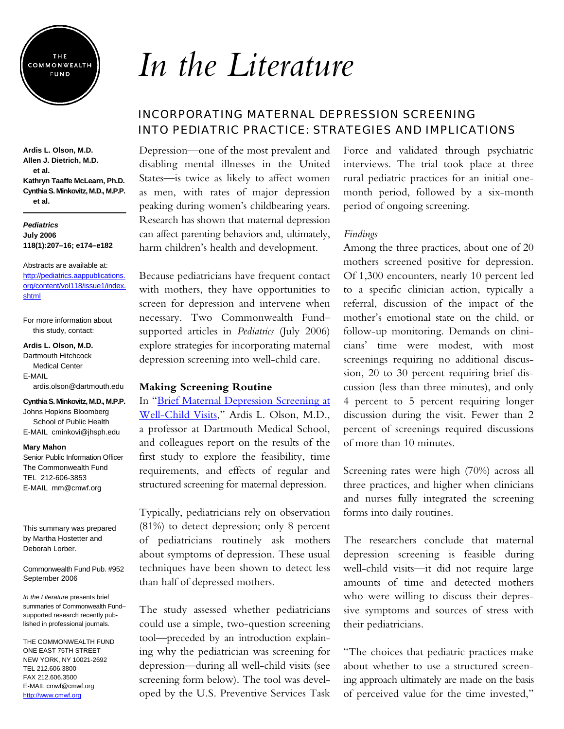

**Ardis L. Olson, M.D. Allen J. Dietrich, M.D. et al. Kathryn Taaffe McLearn, Ph.D. Cynthia S. Minkovitz, M.D., M.P.P. et al.** 

#### *Pediatrics* **July 2006 118(1):207–16; e174–e182**

Abstracts are available at: http://pediatrics.aappublications. [org/content/vol118/issue1/index.](http://pediatrics.aappublications.org/content/vol118/issue1/index.shtml) shtml

For more information about this study, contact:

#### **Ardis L. Olson, M.D.**

Dartmouth Hitchcock Medical Center E-MAIL ardis.olson@dartmouth.edu

#### **Cynthia S. Minkovitz, M.D., M.P.P.**

Johns Hopkins Bloomberg School of Public Health E-MAIL cminkovi@jhsph.edu

#### **Mary Mahon**

Senior Public Information Officer The Commonwealth Fund TEL 212-606-3853 E-MAIL mm@cmwf.org

This summary was prepared by Martha Hostetter and Deborah Lorber.

Commonwealth Fund Pub. #952 September 2006

*In the Literature* presents brief summaries of Commonwealth Fund– supported research recently published in professional journals.

THE COMMONWEALTH FUND ONE EAST 75TH STREET NEW YORK, NY 10021-2692 TEL 212.606.3800 FAX 212.606.3500 E-MAIL cmwf@cmwf.org <http://www.cmwf.org>

# *In the Literature*

# INCORPORATING MATERNAL DEPRESSION SCREENING INTO PEDIATRIC PRACTICE: STRATEGIES AND IMPLICATIONS

Depression—one of the most prevalent and disabling mental illnesses in the United States—is twice as likely to affect women as men, with rates of major depression peaking during women's childbearing years. Research has shown that maternal depression can affect parenting behaviors and, ultimately, harm children's health and development.

Because pediatricians have frequent contact with mothers, they have opportunities to screen for depression and intervene when necessary. Two Commonwealth Fund– supported articles in *Pediatrics* (July 2006) explore strategies for incorporating maternal depression screening into well-child care.

### **Making Screening Routine**

In "Brief Maternal Depression Screening at [Well-Child Visits," Ardis L. Olson, M.D.,](http://pediatrics.aappublications.org/cgi/content/abstract/118/1/207) a professor at Dartmouth Medical School, and colleagues report on the results of the first study to explore the feasibility, time requirements, and effects of regular and structured screening for maternal depression.

Typically, pediatricians rely on observation (81%) to detect depression; only 8 percent of pediatricians routinely ask mothers about symptoms of depression. These usual techniques have been shown to detect less than half of depressed mothers.

The study assessed whether pediatricians could use a simple, two-question screening tool—preceded by an introduction explaining why the pediatrician was screening for depression—during all well-child visits (see screening form below). The tool was developed by the U.S. Preventive Services Task

Force and validated through psychiatric interviews. The trial took place at three rural pediatric practices for an initial onemonth period, followed by a six-month period of ongoing screening.

## *Findings*

Among the three practices, about one of 20 mothers screened positive for depression. Of 1,300 encounters, nearly 10 percent led to a specific clinician action, typically a referral, discussion of the impact of the mother's emotional state on the child, or follow-up monitoring. Demands on clinicians' time were modest, with most screenings requiring no additional discussion, 20 to 30 percent requiring brief discussion (less than three minutes), and only 4 percent to 5 percent requiring longer discussion during the visit. Fewer than 2 percent of screenings required discussions of more than 10 minutes.

Screening rates were high (70%) across all three practices, and higher when clinicians and nurses fully integrated the screening forms into daily routines.

The researchers conclude that maternal depression screening is feasible during well-child visits—it did not require large amounts of time and detected mothers who were willing to discuss their depressive symptoms and sources of stress with their pediatricians.

"The choices that pediatric practices make about whether to use a structured screening approach ultimately are made on the basis of perceived value for the time invested,"